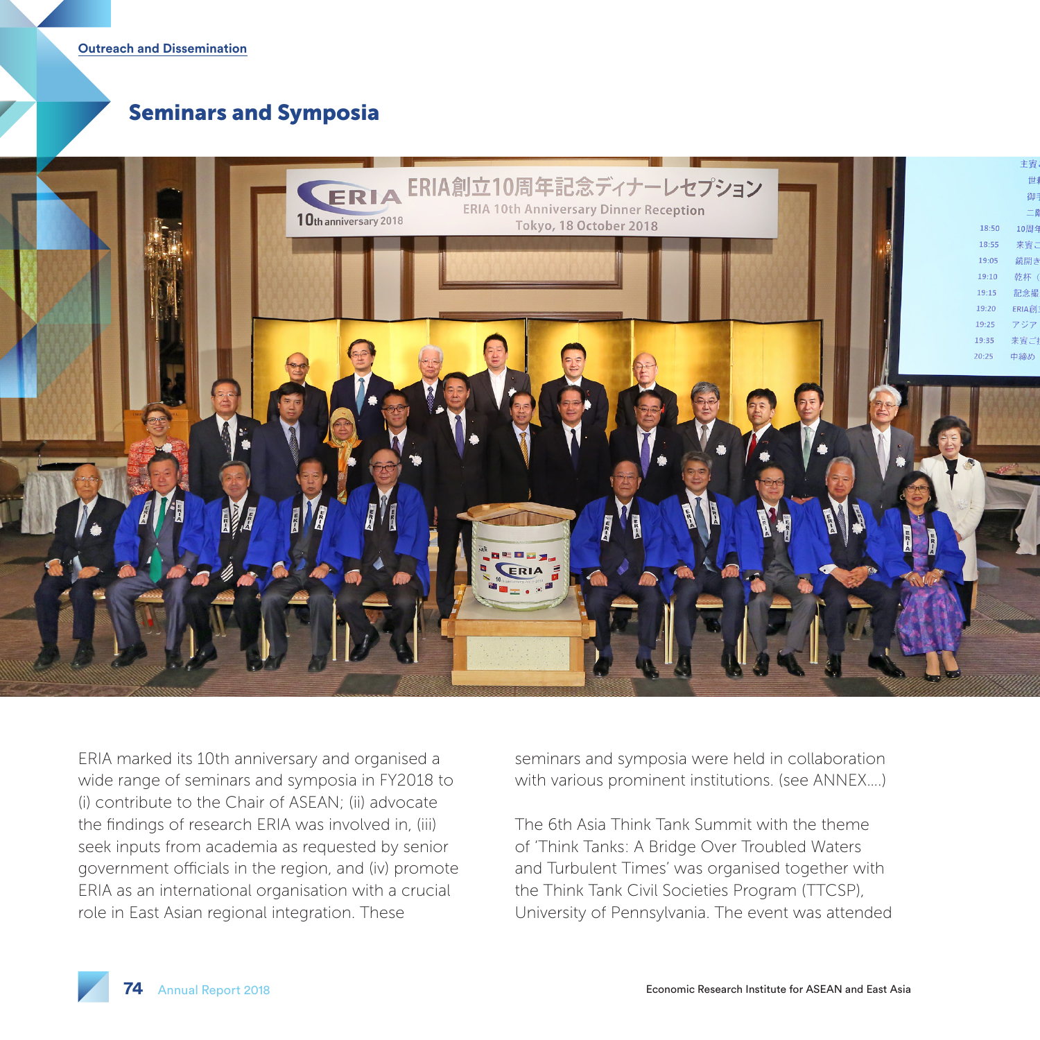**Outreach and Dissemination**

## Seminars and Symposia



ERIA marked its 10th anniversary and organised a wide range of seminars and symposia in FY2018 to (i) contribute to the Chair of ASEAN; (ii) advocate the findings of research ERIA was involved in, (iii) seek inputs from academia as requested by senior government officials in the region, and (iv) promote ERIA as an international organisation with a crucial role in East Asian regional integration. These

seminars and symposia were held in collaboration with various prominent institutions. (see ANNEX….)

The 6th Asia Think Tank Summit with the theme of 'Think Tanks: A Bridge Over Troubled Waters and Turbulent Times' was organised together with the Think Tank Civil Societies Program (TTCSP), University of Pennsylvania. The event was attended